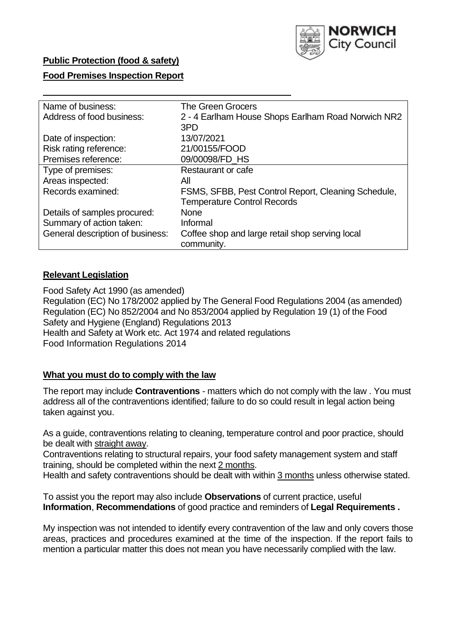

### **Public Protection (food & safety)**

### **Food Premises Inspection Report**

| Name of business:                | <b>The Green Grocers</b>                            |  |  |  |  |
|----------------------------------|-----------------------------------------------------|--|--|--|--|
| Address of food business:        | 2 - 4 Earlham House Shops Earlham Road Norwich NR2  |  |  |  |  |
|                                  | 3PD                                                 |  |  |  |  |
| Date of inspection:              | 13/07/2021                                          |  |  |  |  |
| Risk rating reference:           | 21/00155/FOOD                                       |  |  |  |  |
| Premises reference:              | 09/00098/FD HS                                      |  |  |  |  |
| Type of premises:                | Restaurant or cafe                                  |  |  |  |  |
| Areas inspected:                 | All                                                 |  |  |  |  |
| Records examined:                | FSMS, SFBB, Pest Control Report, Cleaning Schedule, |  |  |  |  |
|                                  | <b>Temperature Control Records</b>                  |  |  |  |  |
| Details of samples procured:     | None                                                |  |  |  |  |
| Summary of action taken:         | Informal                                            |  |  |  |  |
| General description of business: | Coffee shop and large retail shop serving local     |  |  |  |  |
|                                  | community.                                          |  |  |  |  |

### **Relevant Legislation**

 Food Safety Act 1990 (as amended) Regulation (EC) No 178/2002 applied by The General Food Regulations 2004 (as amended) Regulation (EC) No 852/2004 and No 853/2004 applied by Regulation 19 (1) of the Food Safety and Hygiene (England) Regulations 2013 Health and Safety at Work etc. Act 1974 and related regulations Food Information Regulations 2014

#### **What you must do to comply with the law**

 The report may include **Contraventions** - matters which do not comply with the law . You must address all of the contraventions identified; failure to do so could result in legal action being taken against you.

 As a guide, contraventions relating to cleaning, temperature control and poor practice, should be dealt with straight away.

 Contraventions relating to structural repairs, your food safety management system and staff training, should be completed within the next 2 months.

Health and safety contraventions should be dealt with within 3 months unless otherwise stated.

 To assist you the report may also include **Observations** of current practice, useful **Information**, **Recommendations** of good practice and reminders of **Legal Requirements .** 

 My inspection was not intended to identify every contravention of the law and only covers those areas, practices and procedures examined at the time of the inspection. If the report fails to mention a particular matter this does not mean you have necessarily complied with the law.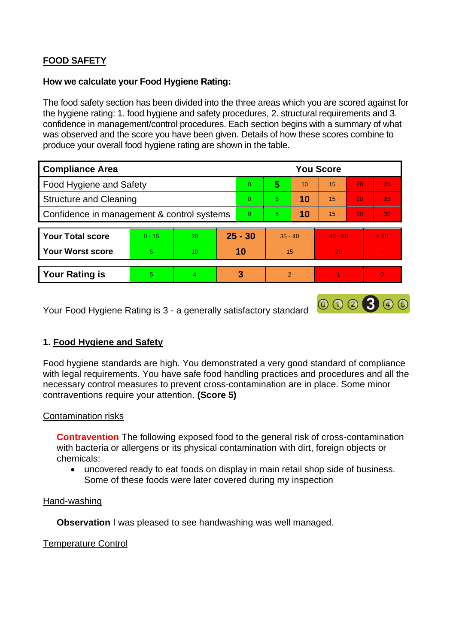# **FOOD SAFETY**

### **How we calculate your Food Hygiene Rating:**

 The food safety section has been divided into the three areas which you are scored against for the hygiene rating: 1. food hygiene and safety procedures, 2. structural requirements and 3. confidence in management/control procedures. Each section begins with a summary of what was observed and the score you have been given. Details of how these scores combine to produce your overall food hygiene rating are shown in the table.

| <b>Compliance Area</b>                     |          |    |           | <b>You Score</b> |                |    |           |    |                |  |  |
|--------------------------------------------|----------|----|-----------|------------------|----------------|----|-----------|----|----------------|--|--|
| Food Hygiene and Safety                    |          |    |           | $\Omega$         | 5              | 10 | 15        | 20 | 25             |  |  |
| <b>Structure and Cleaning</b>              |          |    | $\Omega$  | 5.               | 10             | 15 | 20        | 25 |                |  |  |
| Confidence in management & control systems |          |    | $\Omega$  | 5                | 10             | 15 | 20        | 30 |                |  |  |
|                                            |          |    |           |                  |                |    |           |    |                |  |  |
| <b>Your Total score</b>                    | $0 - 15$ | 20 | $25 - 30$ |                  | $35 - 40$      |    | $45 - 50$ |    | > 50           |  |  |
| <b>Your Worst score</b>                    | 5        | 10 | 10        |                  | 15             |    | 20        |    |                |  |  |
|                                            |          |    |           |                  |                |    |           |    |                |  |  |
| <b>Your Rating is</b>                      | 5        | 4  |           | 3                | $\overline{2}$ |    |           |    | $\overline{0}$ |  |  |

Your Food Hygiene Rating is 3 - a generally satisfactory standard

## **1. Food Hygiene and Safety**

 with legal requirements. You have safe food handling practices and procedures and all the Food hygiene standards are high. You demonstrated a very good standard of compliance necessary control measures to prevent cross-contamination are in place. Some minor contraventions require your attention. **(Score 5)** 

000300

### Contamination risks

 with bacteria or allergens or its physical contamination with dirt, foreign objects or **Contravention** The following exposed food to the general risk of cross-contamination chemicals:

• uncovered ready to eat foods on display in main retail shop side of business. Some of these foods were later covered during my inspection

#### Hand-washing

**Observation** I was pleased to see handwashing was well managed.

### Temperature Control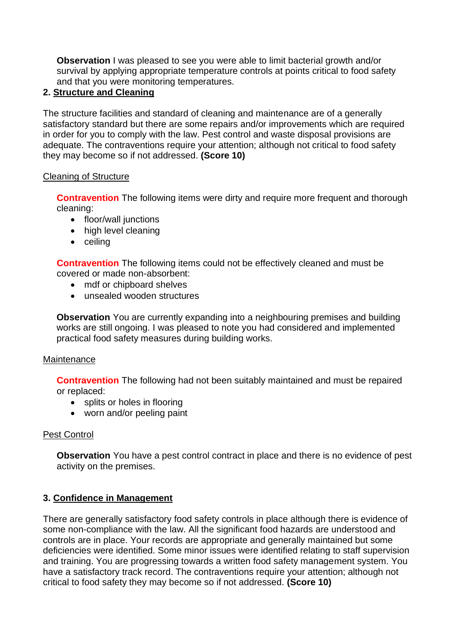**Observation** I was pleased to see you were able to limit bacterial growth and/or survival by applying appropriate temperature controls at points critical to food safety and that you were monitoring temperatures.

## **2. Structure and Cleaning**

 satisfactory standard but there are some repairs and/or improvements which are required The structure facilities and standard of cleaning and maintenance are of a generally in order for you to comply with the law. Pest control and waste disposal provisions are adequate. The contraventions require your attention; although not critical to food safety they may become so if not addressed. **(Score 10)** 

### Cleaning of Structure

**Contravention** The following items were dirty and require more frequent and thorough cleaning:

- floor/wall junctions
- high level cleaning
- ceiling

**Contravention** The following items could not be effectively cleaned and must be covered or made non-absorbent:

- mdf or chipboard shelves
- unsealed wooden structures

 works are still ongoing. I was pleased to note you had considered and implemented **Observation** You are currently expanding into a neighbouring premises and building practical food safety measures during building works.

### **Maintenance**

**Contravention** The following had not been suitably maintained and must be repaired or replaced:

- splits or holes in flooring
- worn and/or peeling paint

## Pest Control

 activity on the premises. **Observation** You have a pest control contract in place and there is no evidence of pest

## **3. Confidence in Management**

 controls are in place. Your records are appropriate and generally maintained but some There are generally satisfactory food safety controls in place although there is evidence of some non-compliance with the law. All the significant food hazards are understood and deficiencies were identified. Some minor issues were identified relating to staff supervision and training. You are progressing towards a written food safety management system. You have a satisfactory track record. The contraventions require your attention; although not critical to food safety they may become so if not addressed. **(Score 10)**